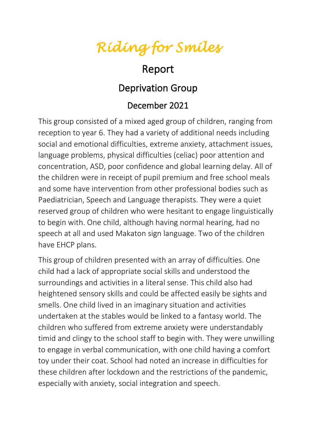*Riding for Smiles* 

## Report

## Deprivation Group

## December 2021

This group consisted of a mixed aged group of children, ranging from reception to year 6. They had a variety of additional needs including social and emotional difficulties, extreme anxiety, attachment issues, language problems, physical difficulties (celiac) poor attention and concentration, ASD, poor confidence and global learning delay. All of the children were in receipt of pupil premium and free school meals and some have intervention from other professional bodies such as Paediatrician, Speech and Language therapists. They were a quiet reserved group of children who were hesitant to engage linguistically to begin with. One child, although having normal hearing, had no speech at all and used Makaton sign language. Two of the children have EHCP plans.

This group of children presented with an array of difficulties. One child had a lack of appropriate social skills and understood the surroundings and activities in a literal sense. This child also had heightened sensory skills and could be affected easily be sights and smells. One child lived in an imaginary situation and activities undertaken at the stables would be linked to a fantasy world. The children who suffered from extreme anxiety were understandably timid and clingy to the school staff to begin with. They were unwilling to engage in verbal communication, with one child having a comfort toy under their coat. School had noted an increase in difficulties for these children after lockdown and the restrictions of the pandemic, especially with anxiety, social integration and speech.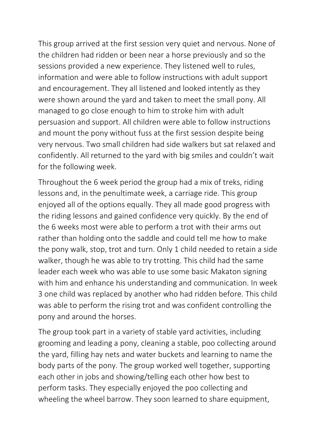This group arrived at the first session very quiet and nervous. None of the children had ridden or been near a horse previously and so the sessions provided a new experience. They listened well to rules, information and were able to follow instructions with adult support and encouragement. They all listened and looked intently as they were shown around the yard and taken to meet the small pony. All managed to go close enough to him to stroke him with adult persuasion and support. All children were able to follow instructions and mount the pony without fuss at the first session despite being very nervous. Two small children had side walkers but sat relaxed and confidently. All returned to the yard with big smiles and couldn't wait for the following week.

Throughout the 6 week period the group had a mix of treks, riding lessons and, in the penultimate week, a carriage ride. This group enjoyed all of the options equally. They all made good progress with the riding lessons and gained confidence very quickly. By the end of the 6 weeks most were able to perform a trot with their arms out rather than holding onto the saddle and could tell me how to make the pony walk, stop, trot and turn. Only 1 child needed to retain a side walker, though he was able to try trotting. This child had the same leader each week who was able to use some basic Makaton signing with him and enhance his understanding and communication. In week 3 one child was replaced by another who had ridden before. This child was able to perform the rising trot and was confident controlling the pony and around the horses.

The group took part in a variety of stable yard activities, including grooming and leading a pony, cleaning a stable, poo collecting around the yard, filling hay nets and water buckets and learning to name the body parts of the pony. The group worked well together, supporting each other in jobs and showing/telling each other how best to perform tasks. They especially enjoyed the poo collecting and wheeling the wheel barrow. They soon learned to share equipment,